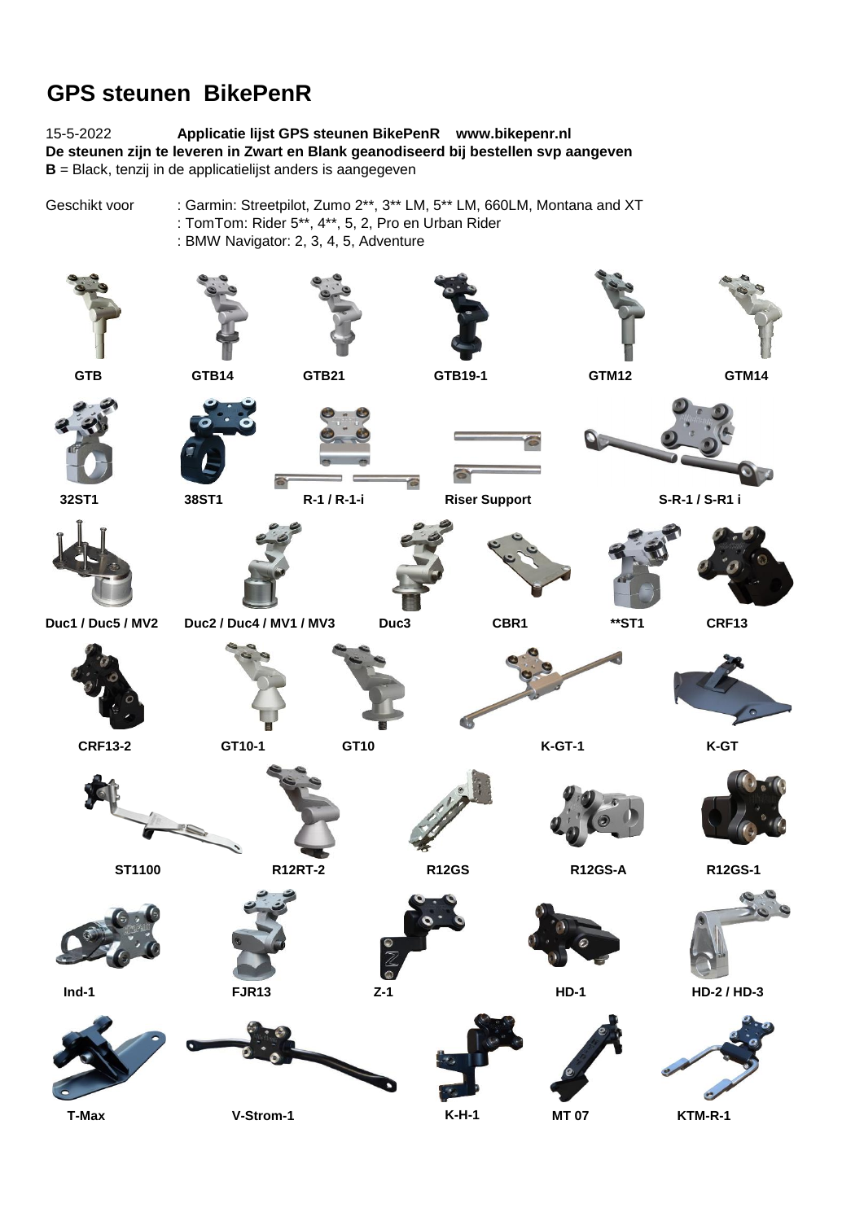## **GPS steunen BikePenR**

15-5-2022 **Applicatie lijst GPS steunen BikePenR www.bikepenr.nl De steunen zijn te leveren in Zwart en Blank geanodiseerd bij bestellen svp aangeven B** = Black, tenzij in de applicatielijst anders is aangegeven

Geschikt voor : Garmin: Streetpilot, Zumo 2\*\*, 3\*\* LM, 5\*\* LM, 660LM, Montana and XT : TomTom: Rider 5\*\*, 4\*\*, 5, 2, Pro en Urban Rider :BMW Navigator: 2, 3, 4, 5, Adventure

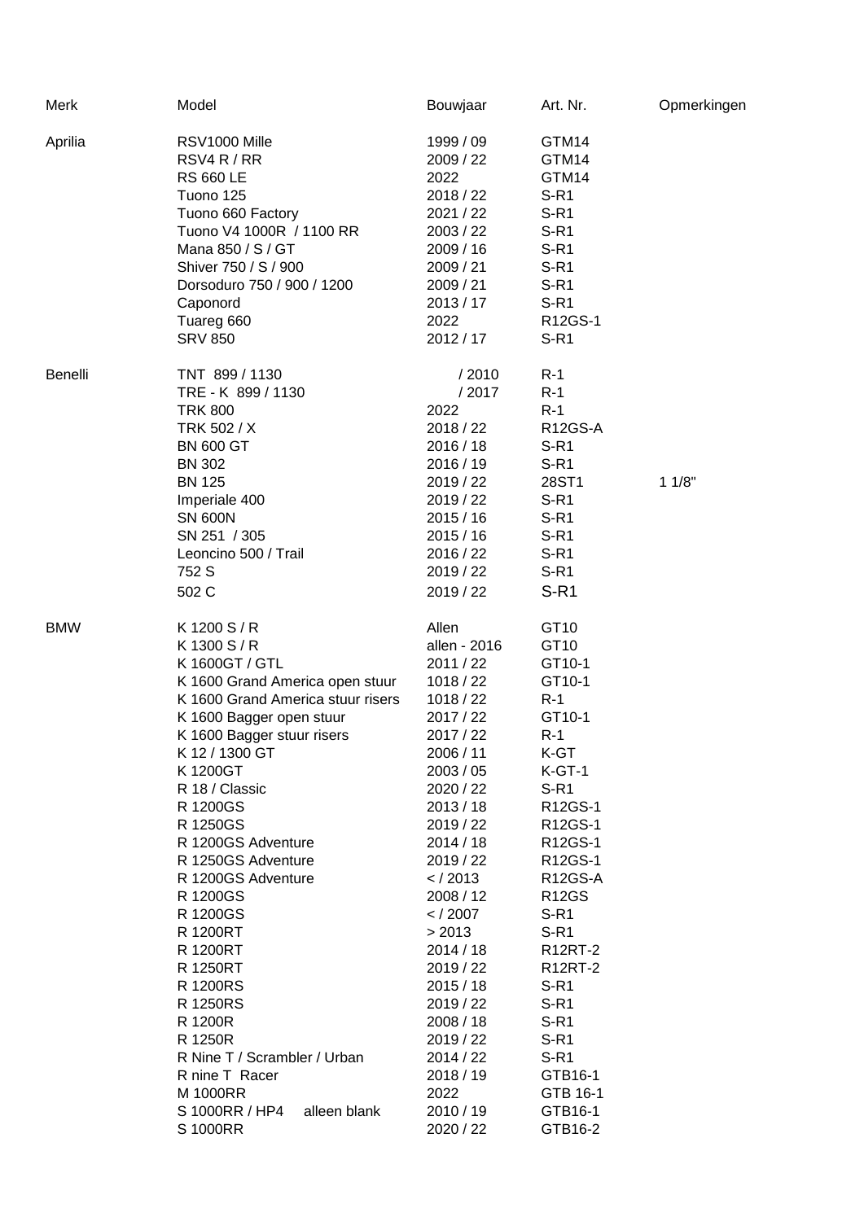| Merk           | Model                             | Bouwjaar     | Art. Nr.       | Opmerkingen |
|----------------|-----------------------------------|--------------|----------------|-------------|
| Aprilia        | RSV1000 Mille                     | 1999 / 09    | GTM14          |             |
|                | RSV4 R / RR                       | 2009 / 22    | GTM14          |             |
|                | <b>RS 660 LE</b>                  | 2022         | GTM14          |             |
|                | Tuono 125                         | 2018 / 22    | $S-R1$         |             |
|                | Tuono 660 Factory                 | 2021 / 22    | $S-R1$         |             |
|                | Tuono V4 1000R / 1100 RR          | 2003 / 22    | $S-R1$         |             |
|                | Mana 850 / S / GT                 | 2009 / 16    | $S-R1$         |             |
|                | Shiver 750 / S / 900              | 2009 / 21    | $S-R1$         |             |
|                | Dorsoduro 750 / 900 / 1200        | 2009 / 21    | $S-R1$         |             |
|                | Caponord                          | 2013/17      | $S-R1$         |             |
|                |                                   | 2022         | R12GS-1        |             |
|                | Tuareg 660                        |              |                |             |
|                | <b>SRV 850</b>                    | 2012 / 17    | $S-R1$         |             |
| <b>Benelli</b> | TNT 899 / 1130                    | /2010        | $R-1$          |             |
|                | TRE - K 899 / 1130                | /2017        | $R-1$          |             |
|                | <b>TRK 800</b>                    | 2022         | $R-1$          |             |
|                | TRK 502 / X                       | 2018 / 22    | <b>R12GS-A</b> |             |
|                | <b>BN 600 GT</b>                  | 2016/18      | $S-R1$         |             |
|                | <b>BN 302</b>                     | 2016 / 19    | $S-R1$         |             |
|                | <b>BN 125</b>                     | 2019 / 22    | 28ST1          | 11/8"       |
|                | Imperiale 400                     | 2019 / 22    | $S-R1$         |             |
|                | <b>SN 600N</b>                    | 2015/16      | $S-R1$         |             |
|                | SN 251 / 305                      | 2015/16      | $S-R1$         |             |
|                | Leoncino 500 / Trail              | 2016 / 22    | $S-R1$         |             |
|                | 752 S                             | 2019 / 22    | $S-R1$         |             |
|                |                                   |              |                |             |
|                | 502 C                             | 2019 / 22    | $S-R1$         |             |
| <b>BMW</b>     | K1200 S/R                         | Allen        | GT10           |             |
|                | K 1300 S / R                      | allen - 2016 | GT10           |             |
|                | K 1600GT / GTL                    | 2011 / 22    | GT10-1         |             |
|                | K 1600 Grand America open stuur   | 1018 / 22    | GT10-1         |             |
|                | K 1600 Grand America stuur risers | 1018 / 22    | $R-1$          |             |
|                | K 1600 Bagger open stuur          | 2017 / 22    | GT10-1         |             |
|                | K 1600 Bagger stuur risers        | 2017 / 22    | $R-1$          |             |
|                | K 12 / 1300 GT                    | 2006 / 11    | K-GT           |             |
|                | K 1200GT                          | 2003 / 05    | $K-GT-1$       |             |
|                | R 18 / Classic                    | 2020 / 22    | $S-R1$         |             |
|                | R 1200GS                          | 2013/18      | R12GS-1        |             |
|                | R 1250GS                          | 2019 / 22    | R12GS-1        |             |
|                | R 1200GS Adventure                | 2014/18      | R12GS-1        |             |
|                | R 1250GS Adventure                | 2019 / 22    | R12GS-1        |             |
|                | R 1200GS Adventure                | $<$ / 2013   | <b>R12GS-A</b> |             |
|                | R 1200GS                          | 2008 / 12    | <b>R12GS</b>   |             |
|                | R 1200GS                          |              | $S-R1$         |             |
|                |                                   | $<$ / 2007   |                |             |
|                | R 1200RT                          | > 2013       | $S-R1$         |             |
|                | R 1200RT                          | 2014/18      | <b>R12RT-2</b> |             |
|                | R 1250RT                          | 2019 / 22    | <b>R12RT-2</b> |             |
|                | R 1200RS                          | 2015/18      | $S-R1$         |             |
|                | R 1250RS                          | 2019 / 22    | $S-R1$         |             |
|                | R 1200R                           | 2008 / 18    | $S-R1$         |             |
|                | R 1250R                           | 2019 / 22    | $S-R1$         |             |
|                | R Nine T / Scrambler / Urban      | 2014 / 22    | $S-R1$         |             |
|                | R nine T Racer                    | 2018 / 19    | GTB16-1        |             |
|                | M 1000RR                          | 2022         | GTB 16-1       |             |
|                | S 1000RR / HP4<br>alleen blank    | 2010 / 19    | GTB16-1        |             |
|                | S 1000RR                          | 2020 / 22    | GTB16-2        |             |
|                |                                   |              |                |             |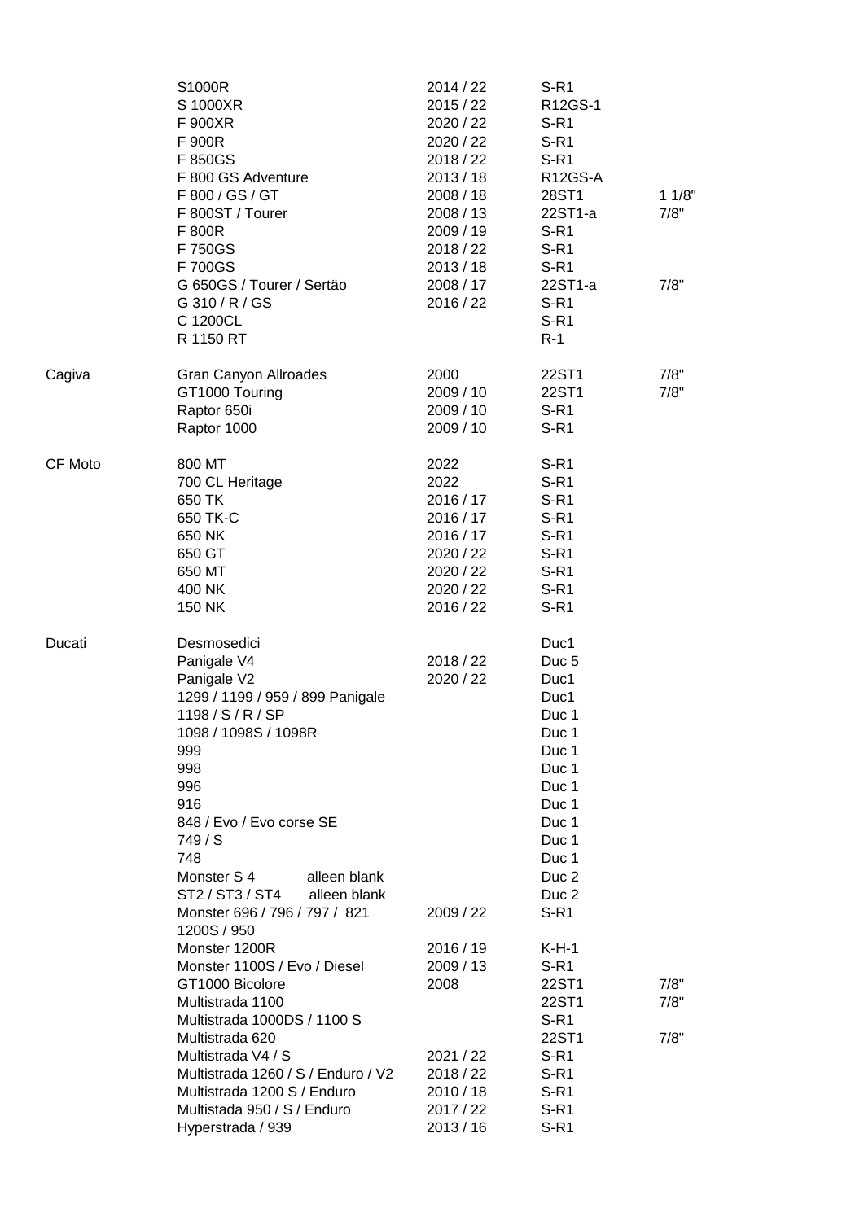|         | S1000R<br>S 1000XR<br>F 900XR<br>F 900R<br>F 850GS<br>F 800 GS Adventure<br>F 800 / GS / GT<br>F 800ST / Tourer<br>F 800R<br>F 750GS<br>F 700GS                                                                                                                                                                      | 2014 / 22<br>2015 / 22<br>2020 / 22<br>2020 / 22<br>2018 / 22<br>2013/18<br>2008 / 18<br>2008 / 13<br>2009/19<br>2018 / 22<br>2013/18 | $S-R1$<br>R12GS-1<br>$S-R1$<br>$S-R1$<br>$S-R1$<br>R12GS-A<br>28ST1<br>22ST1-a<br>$S-R1$<br>$S-R1$<br>$S-R1$                                                                | 11/8"<br>7/8"        |
|---------|----------------------------------------------------------------------------------------------------------------------------------------------------------------------------------------------------------------------------------------------------------------------------------------------------------------------|---------------------------------------------------------------------------------------------------------------------------------------|-----------------------------------------------------------------------------------------------------------------------------------------------------------------------------|----------------------|
|         | G 650GS / Tourer / Sertäo<br>G 310 / R / GS<br>C 1200CL<br>R 1150 RT                                                                                                                                                                                                                                                 | 2008 / 17<br>2016 / 22                                                                                                                | 22ST1-a<br>$S-R1$<br>$S-R1$<br>$R-1$                                                                                                                                        | 7/8"                 |
| Cagiva  | Gran Canyon Allroades<br>GT1000 Touring<br>Raptor 650i<br>Raptor 1000                                                                                                                                                                                                                                                | 2000<br>2009 / 10<br>2009 / 10<br>2009 / 10                                                                                           | 22ST1<br>22ST1<br>$S-R1$<br>$S-R1$                                                                                                                                          | 7/8"<br>7/8"         |
| CF Moto | 800 MT<br>700 CL Heritage<br>650 TK<br>650 TK-C<br>650 NK<br>650 GT<br>650 MT<br>400 NK<br>150 NK                                                                                                                                                                                                                    | 2022<br>2022<br>2016 / 17<br>2016 / 17<br>2016 / 17<br>2020 / 22<br>2020 / 22<br>2020 / 22<br>2016 / 22                               | $S-R1$<br>$S-R1$<br>$S-R1$<br>$S-R1$<br>$S-R1$<br>$S-R1$<br>$S-R1$<br>$S-R1$<br>$S-R1$                                                                                      |                      |
| Ducati  | Desmosedici<br>Panigale V4<br>Panigale V2<br>1299 / 1199 / 959 / 899 Panigale<br>1198 / S / R / SP<br>1098 / 1098S / 1098R<br>999<br>998<br>996<br>916<br>848 / Evo / Evo corse SE<br>749/S<br>748<br>Monster S 4<br>alleen blank<br>ST2 / ST3 / ST4<br>alleen blank<br>Monster 696 / 796 / 797 / 821<br>1200S / 950 | 2018 / 22<br>2020 / 22<br>2009 / 22                                                                                                   | Duc1<br>Duc <sub>5</sub><br>Duc1<br>Duc1<br>Duc 1<br>Duc 1<br>Duc 1<br>Duc 1<br>Duc 1<br>Duc 1<br>Duc 1<br>Duc 1<br>Duc 1<br>Duc <sub>2</sub><br>Duc <sub>2</sub><br>$S-R1$ |                      |
|         | Monster 1200R<br>Monster 1100S / Evo / Diesel<br>GT1000 Bicolore<br>Multistrada 1100<br>Multistrada 1000DS / 1100 S<br>Multistrada 620<br>Multistrada V4 / S<br>Multistrada 1260 / S / Enduro / V2<br>Multistrada 1200 S / Enduro<br>Multistada 950 / S / Enduro<br>Hyperstrada / 939                                | 2016 / 19<br>2009/13<br>2008<br>2021/22<br>2018 / 22<br>2010 / 18<br>2017 / 22<br>2013/16                                             | $K-H-1$<br>$S-R1$<br>22ST1<br>22ST1<br>$S-R1$<br>22ST1<br>$S-R1$<br>$S-R1$<br>S-R <sub>1</sub><br>$S-R1$<br>$S-R1$                                                          | 7/8"<br>7/8"<br>7/8" |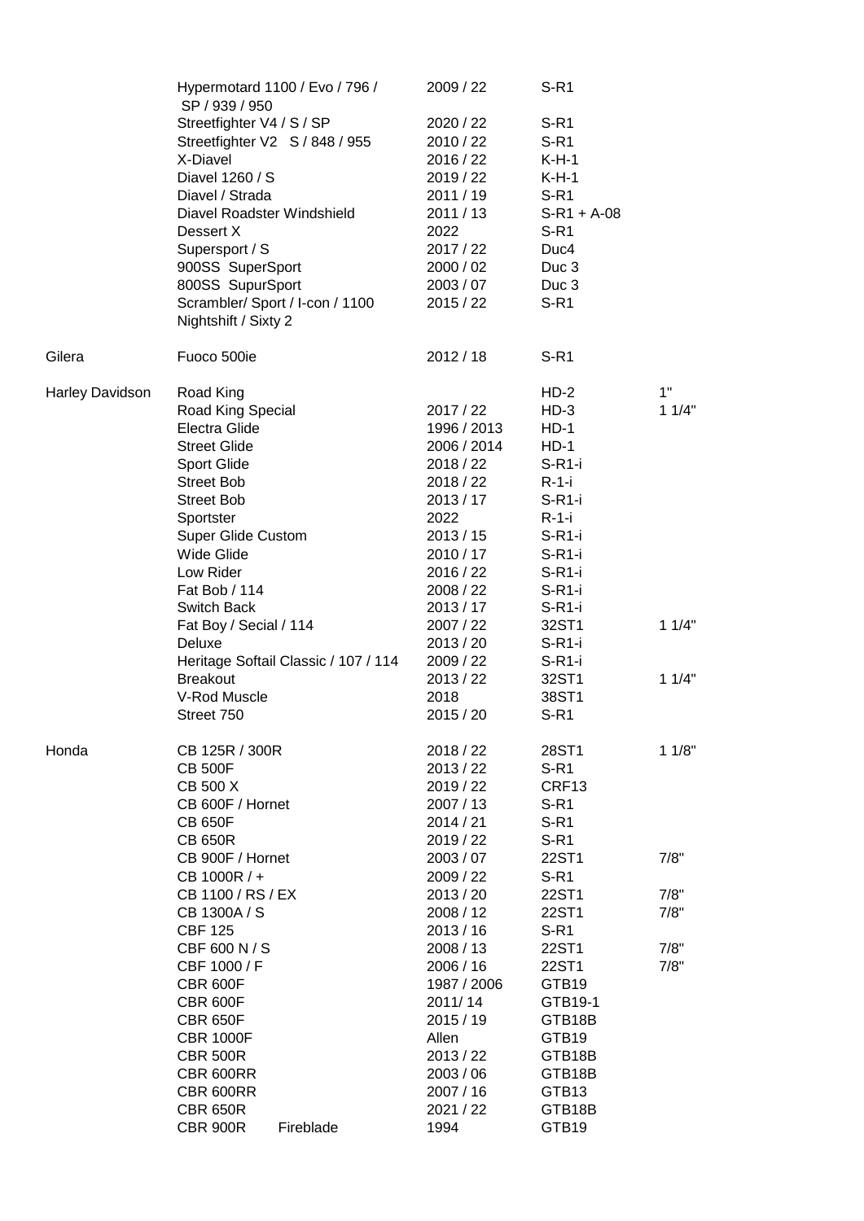|                        | Hypermotard 1100 / Evo / 796 /<br>SP / 939 / 950        |                                      | 2009 / 22   | $S-R1$            |       |
|------------------------|---------------------------------------------------------|--------------------------------------|-------------|-------------------|-------|
|                        | Streetfighter V4 / S / SP                               |                                      | 2020 / 22   | $S-R1$            |       |
|                        | Streetfighter V2 S / 848 / 955                          |                                      | 2010 / 22   | $S-R1$            |       |
|                        | X-Diavel                                                |                                      | 2016 / 22   | $K-H-1$           |       |
|                        | Diavel 1260 / S                                         |                                      | 2019 / 22   | $K-H-1$           |       |
|                        | Diavel / Strada                                         |                                      | 2011 / 19   | $S-R1$            |       |
|                        | Diavel Roadster Windshield                              |                                      | 2011/13     | $S-R1 + A-08$     |       |
|                        | Dessert X                                               |                                      |             |                   |       |
|                        |                                                         |                                      | 2022        | $S-R1$            |       |
|                        | Supersport / S                                          |                                      | 2017 / 22   | Duc4              |       |
|                        | 900SS SuperSport                                        |                                      | 2000 / 02   | Duc 3             |       |
|                        | 800SS SupurSport                                        |                                      | 2003 / 07   | Duc <sub>3</sub>  |       |
|                        | Scrambler/ Sport / I-con / 1100<br>Nightshift / Sixty 2 |                                      | 2015 / 22   | $S-R1$            |       |
| Gilera                 | Fuoco 500ie                                             |                                      | 2012/18     | $S-R1$            |       |
| <b>Harley Davidson</b> | Road King                                               |                                      |             | $HD-2$            | 1"    |
|                        | Road King Special                                       |                                      | 2017/22     | $HD-3$            | 11/4" |
|                        | Electra Glide                                           |                                      | 1996 / 2013 | $HD-1$            |       |
|                        | <b>Street Glide</b>                                     |                                      | 2006 / 2014 | $HD-1$            |       |
|                        | <b>Sport Glide</b>                                      |                                      | 2018 / 22   | $S-R1-i$          |       |
|                        | <b>Street Bob</b>                                       |                                      | 2018/22     | $R-1-i$           |       |
|                        | <b>Street Bob</b>                                       |                                      | 2013/17     | $S-R1-i$          |       |
|                        | Sportster                                               |                                      | 2022        | $R-1-i$           |       |
|                        | <b>Super Glide Custom</b>                               |                                      | 2013 / 15   | $S-R1-i$          |       |
|                        | Wide Glide                                              |                                      | 2010 / 17   | $S-R1-i$          |       |
|                        | Low Rider                                               |                                      | 2016 / 22   | $S-R1-i$          |       |
|                        | Fat Bob / 114                                           |                                      | 2008 / 22   | $S-R1-i$          |       |
|                        | Switch Back                                             |                                      | 2013/17     | $S-R1-i$          |       |
|                        | Fat Boy / Secial / 114                                  |                                      | 2007 / 22   | 32ST1             | 11/4" |
|                        | Deluxe                                                  |                                      | 2013 / 20   | $S-R1-i$          |       |
|                        |                                                         | Heritage Softail Classic / 107 / 114 | 2009 / 22   | $S-R1-i$          |       |
|                        | <b>Breakout</b>                                         |                                      | 2013 / 22   | 32ST1             | 11/4" |
|                        | V-Rod Muscle                                            |                                      | 2018        | 38ST1             |       |
|                        | Street 750                                              |                                      | 2015/20     | $S-R1$            |       |
| Honda                  | CB 125R / 300R                                          |                                      | 2018 / 22   | 28ST1             | 11/8" |
|                        | <b>CB 500F</b>                                          |                                      | 2013 / 22   | $S-R1$            |       |
|                        | CB 500 X                                                |                                      | 2019 / 22   | CRF <sub>13</sub> |       |
|                        | CB 600F / Hornet                                        |                                      | 2007 / 13   | $S-R1$            |       |
|                        | <b>CB 650F</b>                                          |                                      | 2014/21     | $S-R1$            |       |
|                        | <b>CB 650R</b>                                          |                                      | 2019/22     | $S-R1$            |       |
|                        | CB 900F / Hornet                                        |                                      | 2003 / 07   | 22ST1             | 7/8"  |
|                        | CB 1000R / +                                            |                                      | 2009 / 22   | $S-R1$            |       |
|                        | CB 1100 / RS / EX                                       |                                      | 2013 / 20   | 22ST1             | 7/8"  |
|                        | CB 1300A / S                                            |                                      | 2008 / 12   | 22ST1             | 7/8"  |
|                        | <b>CBF 125</b>                                          |                                      | 2013/16     | $S-R1$            |       |
|                        | CBF 600 N / S                                           |                                      | 2008 / 13   | 22ST1             | 7/8"  |
|                        | CBF 1000 / F                                            |                                      | 2006 / 16   | 22ST1             | 7/8"  |
|                        | <b>CBR 600F</b>                                         |                                      | 1987 / 2006 | GTB19             |       |
|                        | <b>CBR 600F</b>                                         |                                      | 2011/14     | GTB19-1           |       |
|                        | <b>CBR 650F</b>                                         |                                      | 2015 / 19   | GTB18B            |       |
|                        | <b>CBR 1000F</b>                                        |                                      | Allen       | GTB19             |       |
|                        | <b>CBR 500R</b>                                         |                                      | 2013 / 22   | GTB18B            |       |
|                        | CBR 600RR                                               |                                      | 2003/06     | GTB18B            |       |
|                        | CBR 600RR                                               |                                      | 2007 / 16   | GTB13             |       |
|                        | <b>CBR 650R</b>                                         |                                      | 2021 / 22   | GTB18B            |       |
|                        | <b>CBR 900R</b>                                         | Fireblade                            | 1994        | GTB19             |       |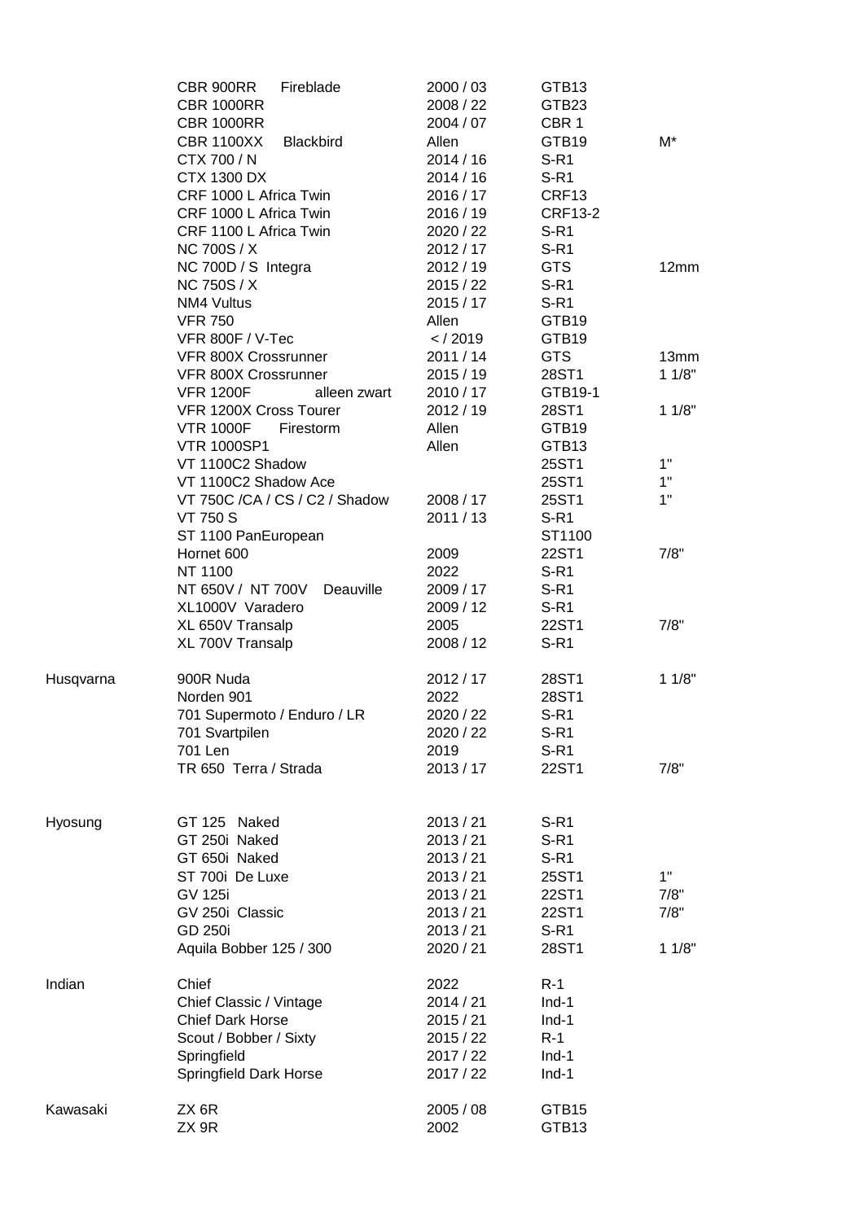|           | CBR 900RR<br>Fireblade<br><b>CBR 1000RR</b>                               | 2000 / 03<br>2008 / 22        | GTB <sub>13</sub><br>GTB23          |       |
|-----------|---------------------------------------------------------------------------|-------------------------------|-------------------------------------|-------|
|           | <b>CBR 1000RR</b><br><b>CBR 1100XX</b><br><b>Blackbird</b><br>CTX 700 / N | 2004 / 07<br>Allen<br>2014/16 | CBR <sub>1</sub><br>GTB19<br>$S-R1$ | M*    |
|           | <b>CTX 1300 DX</b>                                                        | 2014/16                       | $S-R1$                              |       |
|           | CRF 1000 L Africa Twin                                                    | 2016 / 17                     | CRF13                               |       |
|           | CRF 1000 L Africa Twin                                                    | 2016 / 19                     | <b>CRF13-2</b>                      |       |
|           | CRF 1100 L Africa Twin                                                    | 2020 / 22                     | $S-R1$                              |       |
|           | <b>NC 700S / X</b>                                                        | 2012 / 17                     | $S-R1$                              |       |
|           | NC 700D / S Integra                                                       | 2012/19                       | <b>GTS</b>                          | 12mm  |
|           | <b>NC 750S / X</b>                                                        | 2015/22                       | $S-R1$                              |       |
|           | NM4 Vultus                                                                | 2015/17                       | $S-R1$                              |       |
|           | <b>VFR 750</b>                                                            | Allen                         | GTB19                               |       |
|           | VFR 800F / V-Tec                                                          | $<$ / 2019                    | GTB <sub>19</sub>                   |       |
|           | VFR 800X Crossrunner                                                      | 2011/14                       | <b>GTS</b>                          | 13mm  |
|           | VFR 800X Crossrunner                                                      | 2015/19                       | 28ST1                               | 11/8" |
|           | <b>VFR 1200F</b><br>alleen zwart                                          | 2010 / 17                     | GTB19-1                             |       |
|           | VFR 1200X Cross Tourer                                                    | 2012/19                       | 28ST1                               | 11/8" |
|           | <b>VTR 1000F</b><br>Firestorm                                             | Allen                         | GTB19                               |       |
|           | <b>VTR 1000SP1</b>                                                        | Allen                         | GTB13                               |       |
|           | VT 1100C2 Shadow                                                          |                               | 25ST1                               | 1"    |
|           | VT 1100C2 Shadow Ace                                                      |                               | 25ST1                               | 1"    |
|           | VT 750C /CA / CS / C2 / Shadow                                            | 2008 / 17                     | 25ST1                               | 1"    |
|           | <b>VT 750 S</b>                                                           | 2011 / 13                     | $S-R1$                              |       |
|           | ST 1100 PanEuropean                                                       |                               | ST1100                              |       |
|           | Hornet 600                                                                | 2009                          | 22ST1                               | 7/8"  |
|           | NT 1100                                                                   | 2022                          | $S-R1$                              |       |
|           | NT 650V / NT 700V<br>Deauville                                            | 2009 / 17                     | $S-R1$                              |       |
|           | XL1000V Varadero                                                          | 2009 / 12<br>2005             | $S-R1$<br>22ST1                     | 7/8"  |
|           | XL 650V Transalp<br>XL 700V Transalp                                      | 2008 / 12                     | $S-R1$                              |       |
| Husqvarna | 900R Nuda                                                                 | 2012 / 17                     | 28ST1                               | 11/8" |
|           | Norden 901                                                                | 2022                          | 28ST1                               |       |
|           | 701 Supermoto / Enduro / LR                                               | 2020 / 22                     | $S-R1$                              |       |
|           | 701 Svartpilen                                                            | 2020 / 22                     | $S-R1$                              |       |
|           | 701 Len                                                                   | 2019                          | $S-R1$                              |       |
|           | TR 650 Terra / Strada                                                     | 2013/17                       | 22ST1                               | 7/8"  |
| Hyosung   | GT 125 Naked                                                              | 2013 / 21                     | $S-R1$                              |       |
|           | GT 250i Naked                                                             | 2013 / 21                     | $S-R1$                              |       |
|           | GT 650i Naked                                                             | 2013 / 21                     | $S-R1$                              |       |
|           | ST 700i De Luxe                                                           | 2013 / 21                     | 25ST1                               | 1"    |
|           | <b>GV 125i</b>                                                            | 2013 / 21                     | 22ST1                               | 7/8"  |
|           | GV 250i Classic                                                           | 2013 / 21                     | 22ST1                               | 7/8"  |
|           | <b>GD 250i</b>                                                            | 2013 / 21                     | $S-R1$                              |       |
|           | Aquila Bobber 125 / 300                                                   | 2020 / 21                     | 28ST1                               | 11/8" |
| Indian    | Chief                                                                     | 2022                          | $R-1$                               |       |
|           | Chief Classic / Vintage                                                   | 2014 / 21                     | $Ind-1$                             |       |
|           | <b>Chief Dark Horse</b>                                                   | 2015/21                       | $Ind-1$                             |       |
|           | Scout / Bobber / Sixty                                                    | 2015/22                       | $R-1$                               |       |
|           | Springfield                                                               | 2017 / 22                     | $Ind-1$                             |       |
|           | Springfield Dark Horse                                                    | 2017 / 22                     | $Ind-1$                             |       |
| Kawasaki  | ZX 6R<br>ZX 9R                                                            | 2005 / 08<br>2002             | GTB15<br>GTB13                      |       |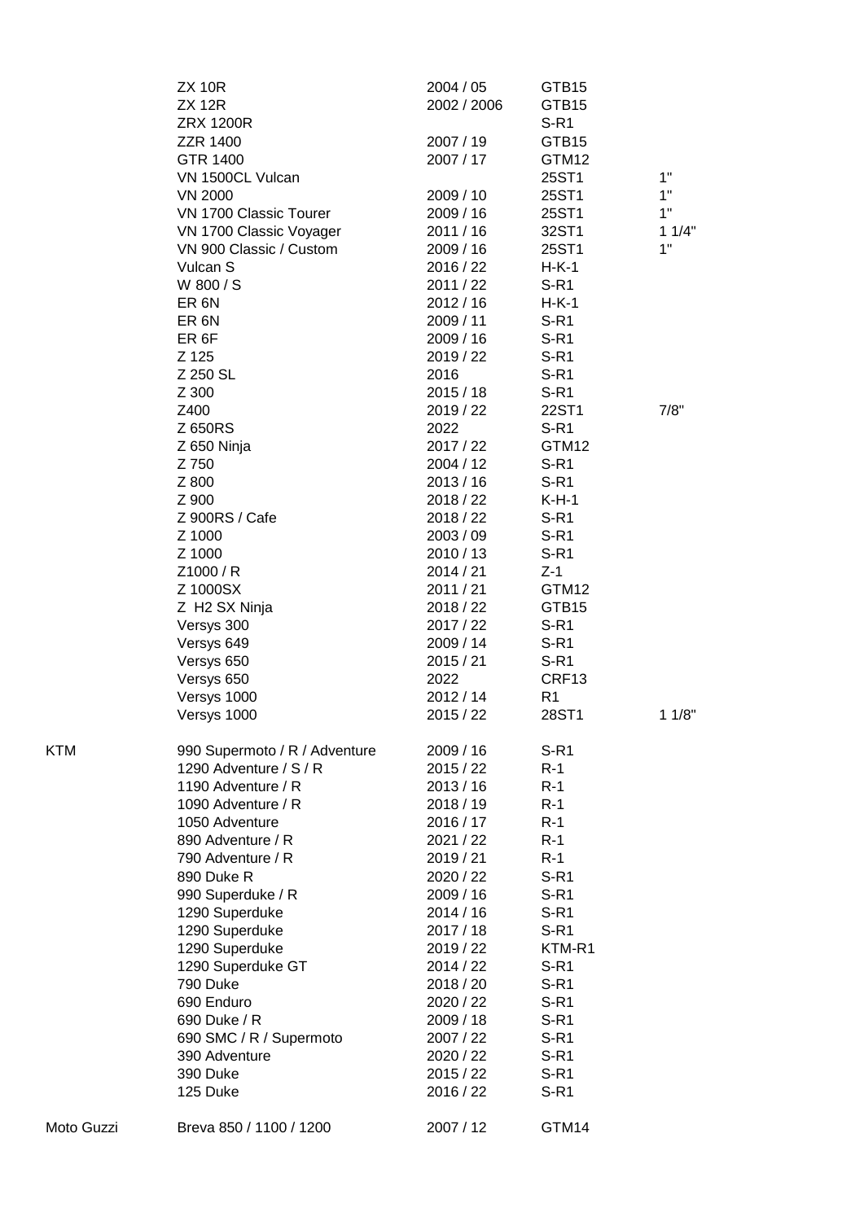|            | <b>ZX 10R</b><br><b>ZX 12R</b>           | 2004 / 05<br>2002 / 2006 | GTB15<br>GTB15   |       |
|------------|------------------------------------------|--------------------------|------------------|-------|
|            | <b>ZRX 1200R</b>                         |                          | $S-R1$           |       |
|            | <b>ZZR 1400</b><br>GTR 1400              | 2007 / 19                | GTB15            |       |
|            | VN 1500CL Vulcan                         | 2007 / 17                | GTM12<br>25ST1   | 1"    |
|            |                                          | 2009 / 10                |                  | 1"    |
|            | <b>VN 2000</b><br>VN 1700 Classic Tourer | 2009 / 16                | 25ST1<br>25ST1   | 1"    |
|            | VN 1700 Classic Voyager                  | 2011 / 16                | 32ST1            | 11/4" |
|            | VN 900 Classic / Custom                  | 2009 / 16                | 25ST1            | 1"    |
|            | Vulcan S                                 | 2016 / 22                | $H-K-1$          |       |
|            | W 800 / S                                | 2011 / 22                | $S-R1$           |       |
|            | ER <sub>6N</sub>                         | 2012/16                  | $H-K-1$          |       |
|            | ER <sub>6N</sub>                         | 2009 / 11                | $S-R1$           |       |
|            | ER <sub>6F</sub>                         | 2009 / 16                | $S-R1$           |       |
|            | Z 125                                    | 2019 / 22                | $S-R1$           |       |
|            | Z 250 SL                                 | 2016                     | $S-R1$           |       |
|            | Z 300                                    | 2015/18                  | $S-R1$           |       |
|            | Z400                                     | 2019 / 22                | 22ST1            | 7/8"  |
|            | Z 650RS                                  | 2022                     | $S-R1$           |       |
|            | Z 650 Ninja                              | 2017 / 22                | GTM12            |       |
|            | Z 750                                    | 2004 / 12                | $S-R1$           |       |
|            | Z 800                                    | 2013 / 16                | $S-R1$           |       |
|            | Z 900                                    | 2018 / 22                | $K-H-1$          |       |
|            | Z 900RS / Cafe                           | 2018 / 22                | $S-R1$           |       |
|            | Z 1000                                   | 2003 / 09                | $S-R1$           |       |
|            | Z 1000                                   | 2010 / 13                | $S-R1$           |       |
|            | Z1000 / R                                | 2014 / 21                | $Z-1$            |       |
|            | Z 1000SX                                 | 2011 / 21                | GTM12            |       |
|            | Z H2 SX Ninja                            | 2018 / 22                | GTB15            |       |
|            | Versys 300                               | 2017 / 22                | $S-R1$           |       |
|            | Versys 649                               | 2009 / 14                | $S-R1$           |       |
|            | Versys 650                               | 2015/21                  | $S-R1$           |       |
|            | Versys 650                               | 2022                     | CRF13            |       |
|            | Versys 1000                              | 2012 / 14                | R <sub>1</sub>   |       |
|            | Versys 1000                              | 2015 / 22                | 28ST1            | 11/8" |
| KTM        | 990 Supermoto / R / Adventure            | 2009/16                  | $S-R1$           |       |
|            | 1290 Adventure / S / R                   | 2015 / 22                | $R-1$            |       |
|            | 1190 Adventure / R                       | 2013/16                  | $R-1$            |       |
|            | 1090 Adventure / R                       | 2018 / 19                | $R-1$            |       |
|            | 1050 Adventure                           | 2016 / 17                | $R-1$            |       |
|            | 890 Adventure / R                        | 2021 / 22                | $R-1$            |       |
|            | 790 Adventure / R                        | 2019 / 21                | $R-1$            |       |
|            | 890 Duke R                               | 2020 / 22                | $S-R1$           |       |
|            | 990 Superduke / R                        | 2009 / 16                | $S-R1$           |       |
|            | 1290 Superduke                           | 2014/16                  | $S-R1$           |       |
|            | 1290 Superduke                           | 2017 / 18                | $S-R1$           |       |
|            | 1290 Superduke                           | 2019 / 22<br>2014 / 22   | KTM-R1<br>$S-R1$ |       |
|            | 1290 Superduke GT<br>790 Duke            | 2018 / 20                | $S-R1$           |       |
|            | 690 Enduro                               | 2020 / 22                | $S-R1$           |       |
|            | 690 Duke / R                             | 2009 / 18                | $S-R1$           |       |
|            | 690 SMC / R / Supermoto                  | 2007 / 22                | $S-R1$           |       |
|            | 390 Adventure                            | 2020 / 22                | $S-R1$           |       |
|            | 390 Duke                                 | 2015 / 22                | $S-R1$           |       |
|            | 125 Duke                                 | 2016 / 22                | $S-R1$           |       |
| Moto Guzzi | Breva 850 / 1100 / 1200                  | 2007 / 12                | GTM14            |       |
|            |                                          |                          |                  |       |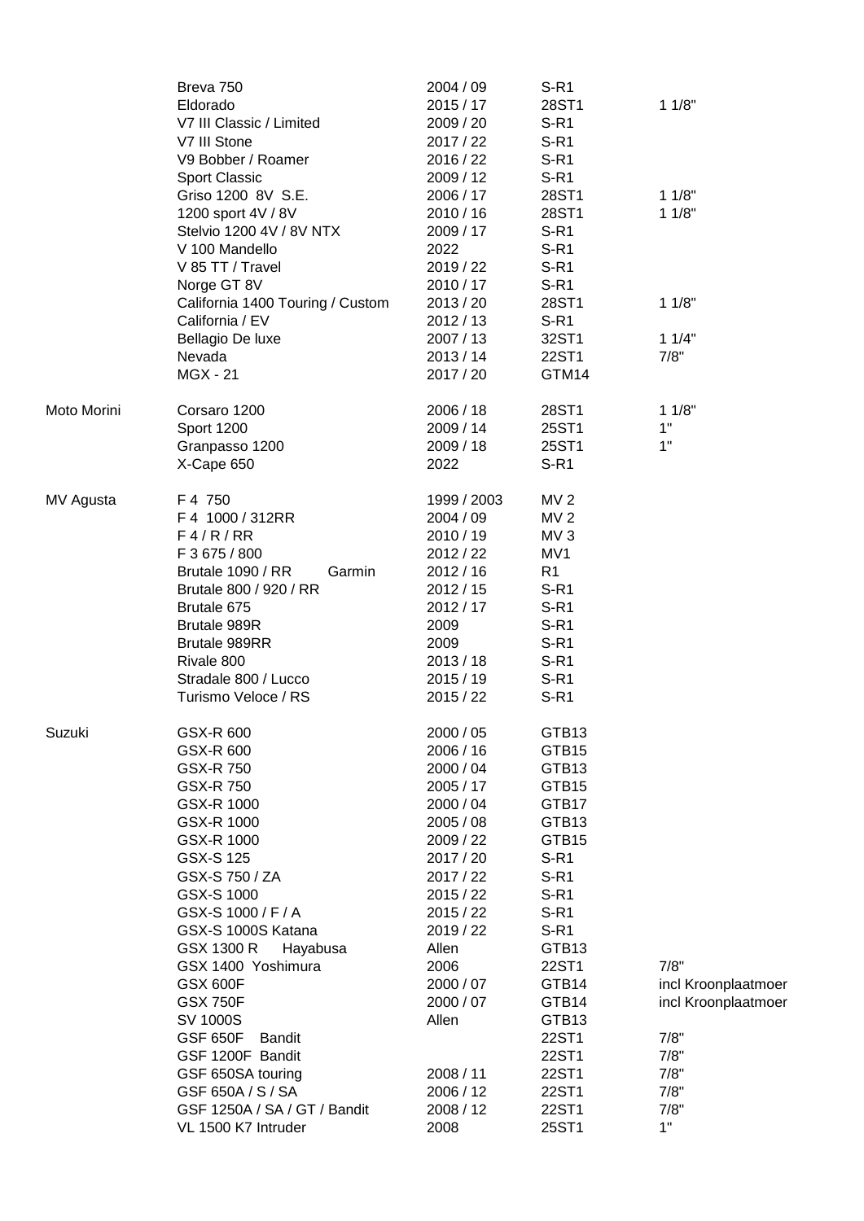|             | Breva 750<br>Eldorado<br>V7 III Classic / Limited<br>V7 III Stone<br>V9 Bobber / Roamer<br><b>Sport Classic</b><br>Griso 1200 8V S.E.<br>1200 sport 4V / 8V<br>Stelvio 1200 4V / 8V NTX<br>V 100 Mandello<br>V 85 TT / Travel                                                                                                                                                                                                                              | 2004 / 09<br>2015/17<br>2009 / 20<br>2017 / 22<br>2016 / 22<br>2009 / 12<br>2006 / 17<br>2010 / 16<br>2009 / 17<br>2022<br>2019 / 22                                                                                                                      | $S-R1$<br>28ST1<br>$S-R1$<br>$S-R1$<br>$S-R1$<br>$S-R1$<br>28ST1<br>28ST1<br>$S-R1$<br>$S-R1$<br>$S-R1$                                                                                                          | 11/8"<br>11/8"<br>11/8"                                                                          |
|-------------|------------------------------------------------------------------------------------------------------------------------------------------------------------------------------------------------------------------------------------------------------------------------------------------------------------------------------------------------------------------------------------------------------------------------------------------------------------|-----------------------------------------------------------------------------------------------------------------------------------------------------------------------------------------------------------------------------------------------------------|------------------------------------------------------------------------------------------------------------------------------------------------------------------------------------------------------------------|--------------------------------------------------------------------------------------------------|
|             | Norge GT 8V<br>California 1400 Touring / Custom<br>California / EV<br>Bellagio De luxe<br>Nevada<br><b>MGX - 21</b>                                                                                                                                                                                                                                                                                                                                        | 2010 / 17<br>2013 / 20<br>2012 / 13<br>2007 / 13<br>2013 / 14<br>2017 / 20                                                                                                                                                                                | $S-R1$<br>28ST1<br>$S-R1$<br>32ST1<br>22ST1<br>GTM14                                                                                                                                                             | 11/8"<br>11/4"<br>7/8"                                                                           |
| Moto Morini | Corsaro 1200<br>Sport 1200<br>Granpasso 1200<br>X-Cape 650                                                                                                                                                                                                                                                                                                                                                                                                 | 2006 / 18<br>2009 / 14<br>2009 / 18<br>2022                                                                                                                                                                                                               | 28ST1<br>25ST1<br>25ST1<br>$S-R1$                                                                                                                                                                                | 11/8"<br>1"<br>1"                                                                                |
| MV Agusta   | F 4 750<br>F 4 1000 / 312RR<br>F4/R/RR<br>F 3 675 / 800<br>Brutale 1090 / RR<br>Garmin<br>Brutale 800 / 920 / RR<br>Brutale 675<br>Brutale 989R<br><b>Brutale 989RR</b><br>Rivale 800<br>Stradale 800 / Lucco<br>Turismo Veloce / RS                                                                                                                                                                                                                       | 1999 / 2003<br>2004 / 09<br>2010 / 19<br>2012 / 22<br>2012 / 16<br>2012 / 15<br>2012 / 17<br>2009<br>2009<br>2013 / 18<br>2015 / 19<br>2015 / 22                                                                                                          | MV <sub>2</sub><br>MV <sub>2</sub><br>MV <sub>3</sub><br>MV1<br>R1<br>$S-R1$<br>$S-R1$<br>$S-R1$<br>$S-R1$<br>$S-R1$<br>$S-R1$<br>$S-R1$                                                                         |                                                                                                  |
| Suzuki      | GSX-R 600<br>GSX-R 600<br><b>GSX-R750</b><br>GSX-R 750<br>GSX-R 1000<br>GSX-R 1000<br>GSX-R 1000<br><b>GSX-S125</b><br>GSX-S 750 / ZA<br>GSX-S 1000<br>GSX-S 1000 / F / A<br>GSX-S 1000S Katana<br>GSX 1300 R<br>Hayabusa<br>GSX 1400 Yoshimura<br><b>GSX 600F</b><br><b>GSX 750F</b><br>SV 1000S<br><b>GSF 650F</b><br><b>Bandit</b><br>GSF 1200F Bandit<br>GSF 650SA touring<br>GSF 650A / S / SA<br>GSF 1250A / SA / GT / Bandit<br>VL 1500 K7 Intruder | 2000 / 05<br>2006 / 16<br>2000 / 04<br>2005 / 17<br>2000 / 04<br>2005 / 08<br>2009 / 22<br>2017 / 20<br>2017 / 22<br>2015 / 22<br>2015/22<br>2019 / 22<br>Allen<br>2006<br>2000 / 07<br>2000 / 07<br>Allen<br>2008 / 11<br>2006 / 12<br>2008 / 12<br>2008 | GTB13<br>GTB15<br>GTB13<br>GTB15<br>GTB17<br>GTB13<br>GTB15<br>$S-R1$<br>$S-R1$<br>$S-R1$<br>$S-R1$<br>$S-R1$<br>GTB13<br>22ST1<br>GTB14<br>GTB14<br>GTB13<br>22ST1<br>22ST1<br>22ST1<br>22ST1<br>22ST1<br>25ST1 | 7/8"<br>incl Kroonplaatmoer<br>incl Kroonplaatmoer<br>7/8"<br>7/8"<br>7/8"<br>7/8"<br>7/8"<br>1" |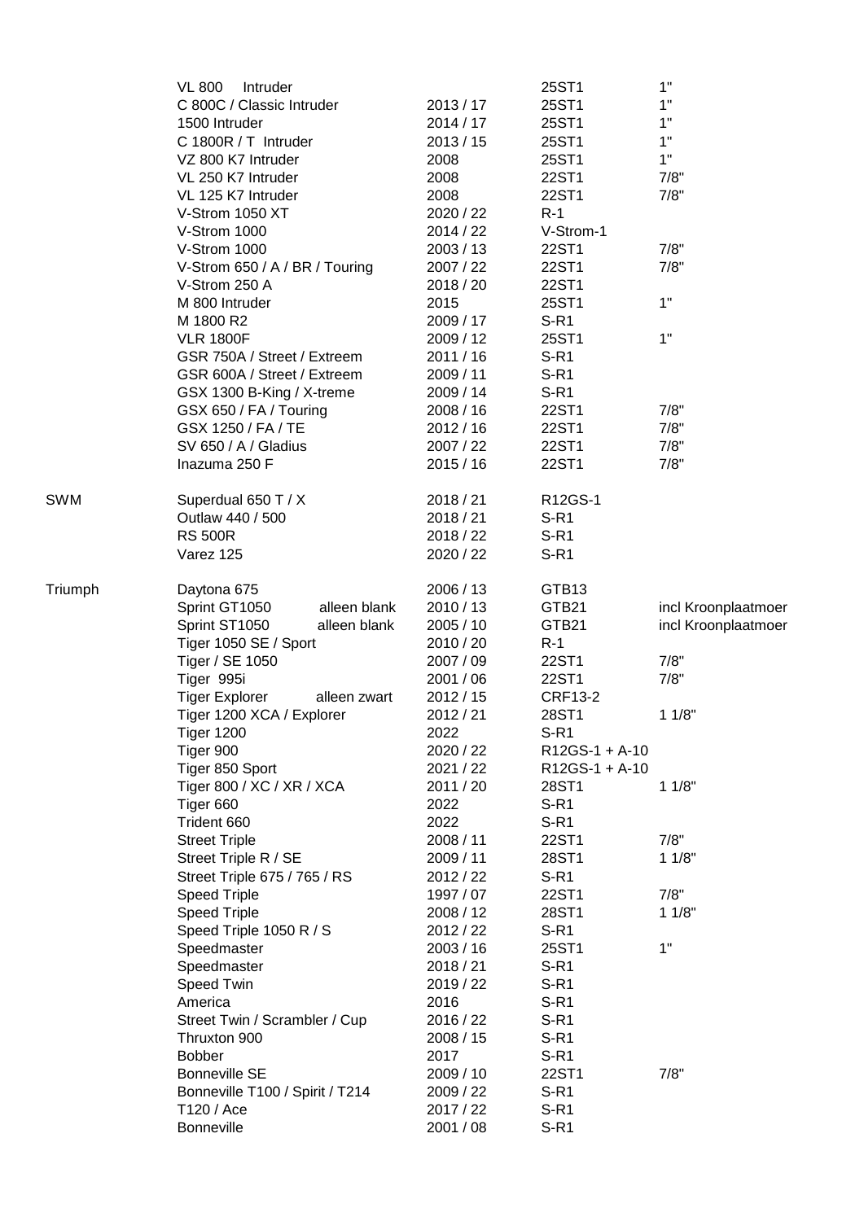|            | <b>VL 800</b><br>Intruder             |           | 25ST1             | 1"                  |
|------------|---------------------------------------|-----------|-------------------|---------------------|
|            | C 800C / Classic Intruder             | 2013 / 17 | 25ST1             | 1"                  |
|            | 1500 Intruder                         | 2014/17   | 25ST1             | 1"                  |
|            | C 1800R / T Intruder                  | 2013/15   | 25ST1             | 1"                  |
|            | VZ 800 K7 Intruder                    | 2008      | 25ST1             | 1"                  |
|            | VL 250 K7 Intruder                    | 2008      | 22ST1             | 7/8"                |
|            | VL 125 K7 Intruder                    | 2008      | 22ST1             | 7/8"                |
|            | V-Strom 1050 XT                       | 2020 / 22 | $R-1$             |                     |
|            | V-Strom 1000                          | 2014 / 22 | V-Strom-1         |                     |
|            | V-Strom 1000                          | 2003 / 13 | 22ST1             | 7/8"                |
|            | V-Strom 650 / A / BR / Touring        | 2007 / 22 | 22ST1             | 7/8"                |
|            | V-Strom 250 A                         | 2018 / 20 | 22ST1             |                     |
|            | M 800 Intruder                        | 2015      | 25ST1             | 1"                  |
|            | M 1800 R2                             | 2009 / 17 | $S-R1$            |                     |
|            | <b>VLR 1800F</b>                      | 2009 / 12 | 25ST1             | 1"                  |
|            | GSR 750A / Street / Extreem           | 2011 / 16 | $S-R1$            |                     |
|            | GSR 600A / Street / Extreem           | 2009 / 11 | $S-R1$            |                     |
|            | GSX 1300 B-King / X-treme             | 2009 / 14 | $S-R1$            |                     |
|            | GSX 650 / FA / Touring                | 2008 / 16 | 22ST1             | 7/8"                |
|            | GSX 1250 / FA / TE                    | 2012/16   | 22ST1             | 7/8"                |
|            | SV 650 / A / Gladius                  | 2007 / 22 | 22ST1             | 7/8"                |
|            | Inazuma 250 F                         | 2015 / 16 | 22ST1             | 7/8"                |
|            |                                       |           |                   |                     |
| <b>SWM</b> | Superdual 650 T / X                   | 2018 / 21 | R12GS-1           |                     |
|            | Outlaw 440 / 500                      | 2018/21   | $S-R1$            |                     |
|            | <b>RS 500R</b>                        | 2018 / 22 | $S-R1$            |                     |
|            | Varez 125                             | 2020 / 22 | $S-R1$            |                     |
|            |                                       |           |                   |                     |
| Triumph    | Daytona 675                           | 2006 / 13 | GTB <sub>13</sub> |                     |
|            | Sprint GT1050<br>alleen blank         | 2010 / 13 | GTB21             | incl Kroonplaatmoer |
|            | Sprint ST1050<br>alleen blank         | 2005 / 10 | GTB21             | incl Kroonplaatmoer |
|            | Tiger 1050 SE / Sport                 | 2010 / 20 | $R-1$             |                     |
|            | Tiger / SE 1050                       | 2007 / 09 | 22ST1             | 7/8"                |
|            | Tiger 995i                            | 2001 / 06 | 22ST1             | 7/8"                |
|            | <b>Tiger Explorer</b><br>alleen zwart | 2012 / 15 | <b>CRF13-2</b>    |                     |
|            | Tiger 1200 XCA / Explorer             | 2012 / 21 | 28ST1             | 11/8"               |
|            | <b>Tiger 1200</b>                     | 2022      | $S-R1$            |                     |
|            | Tiger 900                             | 2020 / 22 | $R12GS-1 + A-10$  |                     |
|            | Tiger 850 Sport                       | 2021 / 22 | R12GS-1 + A-10    |                     |
|            | Tiger 800 / XC / XR / XCA             | 2011 / 20 | 28ST1             | 11/8"               |
|            | Tiger 660                             | 2022      | $S-R1$            |                     |
|            | Trident 660                           | 2022      | $S-R1$            |                     |
|            | <b>Street Triple</b>                  | 2008 / 11 | 22ST1             | 7/8"                |
|            | Street Triple R / SE                  | 2009 / 11 | 28ST1             | 11/8"               |
|            | Street Triple 675 / 765 / RS          | 2012 / 22 | $S-R1$            |                     |
|            | <b>Speed Triple</b>                   | 1997 / 07 | 22ST1             | 7/8"                |
|            | <b>Speed Triple</b>                   | 2008 / 12 | 28ST1             | 11/8"               |
|            | Speed Triple 1050 R / S               | 2012 / 22 | $S-R1$            |                     |
|            | Speedmaster                           | 2003 / 16 | 25ST1             | 1"                  |
|            | Speedmaster                           | 2018 / 21 | $S-R1$            |                     |
|            | Speed Twin                            | 2019 / 22 | $S-R1$            |                     |
|            |                                       | 2016      | $S-R1$            |                     |
|            | America                               |           |                   |                     |
|            | Street Twin / Scrambler / Cup         | 2016 / 22 | $S-R1$            |                     |
|            | Thruxton 900                          | 2008 / 15 | $S-R1$            |                     |
|            | <b>Bobber</b>                         | 2017      | $S-R1$            |                     |
|            | <b>Bonneville SE</b>                  | 2009 / 10 | 22ST1             | 7/8"                |
|            | Bonneville T100 / Spirit / T214       | 2009 / 22 | $S-R1$            |                     |
|            | T120 / Ace                            | 2017 / 22 | $S-R1$            |                     |
|            | <b>Bonneville</b>                     | 2001 / 08 | $S-R1$            |                     |
|            |                                       |           |                   |                     |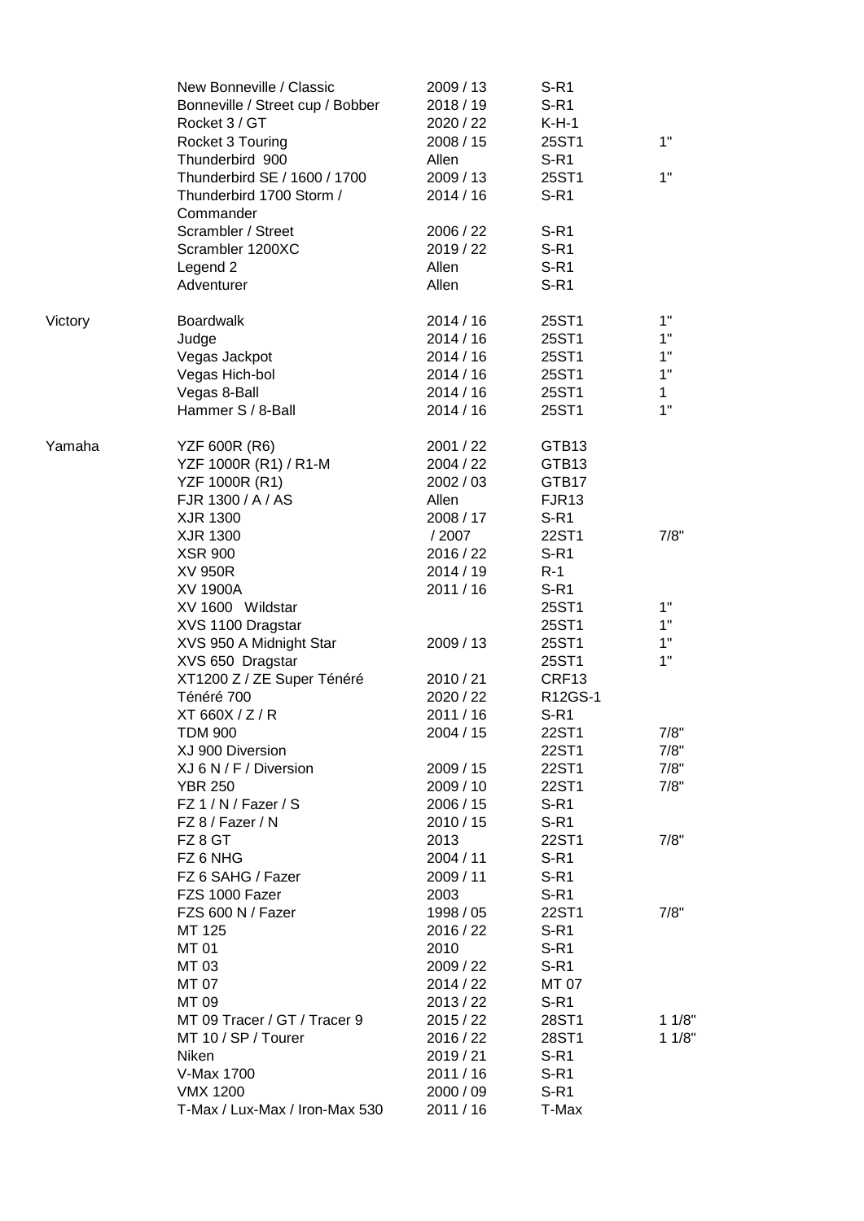|         | New Bonneville / Classic<br>Bonneville / Street cup / Bobber<br>Rocket 3 / GT<br>Rocket 3 Touring | 2009 / 13<br>2018 / 19<br>2020 / 22<br>2008 / 15 | S-R1<br>$S-R1$<br>$K-H-1$<br>25ST1 | 1"    |
|---------|---------------------------------------------------------------------------------------------------|--------------------------------------------------|------------------------------------|-------|
|         | Thunderbird 900                                                                                   | Allen                                            | $S-R1$                             |       |
|         | Thunderbird SE / 1600 / 1700                                                                      | 2009 / 13                                        | 25ST1                              | 1"    |
|         | Thunderbird 1700 Storm /<br>Commander                                                             | 2014/16                                          | $S-R1$                             |       |
|         | Scrambler / Street                                                                                | 2006 / 22                                        | $S-R1$                             |       |
|         | Scrambler 1200XC                                                                                  | 2019 / 22                                        | $S-R1$                             |       |
|         | Legend 2                                                                                          | Allen                                            | $S-R1$                             |       |
|         | Adventurer                                                                                        | Allen                                            | $S-R1$                             |       |
| Victory | <b>Boardwalk</b>                                                                                  | 2014/16                                          | 25ST1                              | 1"    |
|         | Judge                                                                                             | 2014/16                                          | 25ST1                              | 1"    |
|         | Vegas Jackpot                                                                                     | 2014/16                                          | 25ST1                              | 1"    |
|         | Vegas Hich-bol                                                                                    | 2014/16                                          | 25ST1                              | 1"    |
|         | Vegas 8-Ball                                                                                      | 2014/16                                          | 25ST1                              | 1     |
|         | Hammer S / 8-Ball                                                                                 | 2014/16                                          | 25ST1                              | 1"    |
| Yamaha  | <b>YZF 600R (R6)</b>                                                                              | 2001 / 22                                        | GTB <sub>13</sub>                  |       |
|         | YZF 1000R (R1) / R1-M                                                                             | 2004 / 22                                        | GTB13                              |       |
|         | YZF 1000R (R1)                                                                                    | 2002 / 03                                        | GTB17                              |       |
|         | FJR 1300 / A / AS                                                                                 | Allen                                            | FJR <sub>13</sub>                  |       |
|         | XJR 1300                                                                                          | 2008 / 17                                        | $S-R1$                             |       |
|         | XJR 1300                                                                                          | / 2007                                           | 22ST1                              | 7/8"  |
|         | <b>XSR 900</b>                                                                                    | 2016 / 22                                        | $S-R1$                             |       |
|         | XV 950R                                                                                           | 2014 / 19                                        | $R-1$                              |       |
|         | <b>XV 1900A</b>                                                                                   | 2011 / 16                                        | $S-R1$                             | 1"    |
|         | XV 1600 Wildstar                                                                                  |                                                  | 25ST1<br>25ST1                     | 1"    |
|         | XVS 1100 Dragstar<br>XVS 950 A Midnight Star                                                      | 2009 / 13                                        | 25ST1                              | 1"    |
|         | XVS 650 Dragstar                                                                                  |                                                  | 25ST1                              | 1"    |
|         | XT1200 Z / ZE Super Ténéré                                                                        | 2010 / 21                                        | CRF13                              |       |
|         | Ténéré 700                                                                                        | 2020 / 22                                        | R12GS-1                            |       |
|         | XT 660X / Z / R                                                                                   | 2011 / 16                                        | S-R <sub>1</sub>                   |       |
|         | <b>TDM 900</b>                                                                                    | 2004 / 15                                        | 22ST1                              | 7/8"  |
|         | XJ 900 Diversion                                                                                  |                                                  | 22ST1                              | 7/8"  |
|         | XJ 6 N / F / Diversion                                                                            | 2009 / 15                                        | 22ST1                              | 7/8"  |
|         | <b>YBR 250</b>                                                                                    | 2009 / 10                                        | 22ST1                              | 7/8"  |
|         | FZ 1 / N / Fazer / S                                                                              | 2006 / 15                                        | $S-R1$                             |       |
|         | FZ 8 / Fazer / N                                                                                  | 2010 / 15                                        | $S-R1$                             |       |
|         | FZ 8 GT                                                                                           | 2013                                             | 22ST1                              | 7/8"  |
|         | FZ 6 NHG                                                                                          | 2004 / 11                                        | $S-R1$                             |       |
|         | FZ 6 SAHG / Fazer                                                                                 | 2009 / 11                                        | $S-R1$                             |       |
|         | FZS 1000 Fazer                                                                                    | 2003                                             | $S-R1$                             |       |
|         | FZS 600 N / Fazer                                                                                 | 1998 / 05                                        | 22ST1                              | 7/8"  |
|         | MT 125                                                                                            | 2016 / 22                                        | $S-R1$                             |       |
|         | MT 01                                                                                             | 2010                                             | $S-R1$                             |       |
|         | MT 03                                                                                             | 2009 / 22                                        | $S-R1$                             |       |
|         | MT 07                                                                                             | 2014 / 22                                        | MT 07                              |       |
|         | MT 09                                                                                             | 2013 / 22                                        | $S-R1$                             |       |
|         | MT 09 Tracer / GT / Tracer 9                                                                      | 2015/22                                          | 28ST1                              | 11/8" |
|         | MT 10 / SP / Tourer                                                                               | 2016 / 22                                        | 28ST1                              | 11/8" |
|         | Niken                                                                                             | 2019 / 21                                        | $S-R1$                             |       |
|         | V-Max 1700                                                                                        | 2011 / 16                                        | $S-R1$                             |       |
|         | <b>VMX 1200</b>                                                                                   | 2000 / 09                                        | $S-R1$                             |       |
|         | T-Max / Lux-Max / Iron-Max 530                                                                    | 2011 / 16                                        | T-Max                              |       |